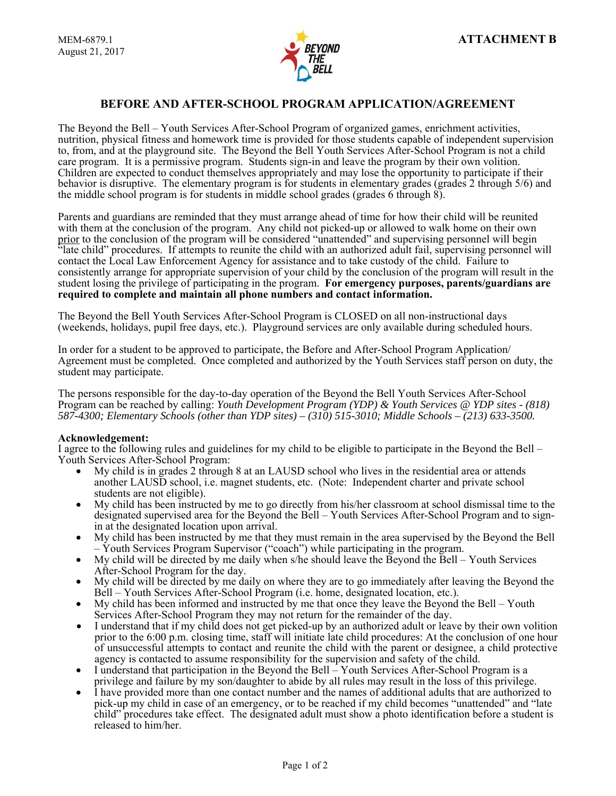

# **BEFORE AND AFTER-SCHOOL PROGRAM APPLICATION/AGREEMENT**

The Beyond the Bell – Youth Services After-School Program of organized games, enrichment activities, nutrition, physical fitness and homework time is provided for those students capable of independent supervision to, from, and at the playground site. The Beyond the Bell Youth Services After-School Program is not a child care program. It is a permissive program. Students sign-in and leave the program by their own volition. Children are expected to conduct themselves appropriately and may lose the opportunity to participate if their behavior is disruptive. The elementary program is for students in elementary grades (grades 2 through 5/6) and the middle school program is for students in middle school grades (grades 6 through 8).

Parents and guardians are reminded that they must arrange ahead of time for how their child will be reunited with them at the conclusion of the program. Any child not picked-up or allowed to walk home on their own prior to the conclusion of the program will be considered "unattended" and supervising personnel will begin "late child" procedures. If attempts to reunite the child with an authorized adult fail, supervising personnel will contact the Local Law Enforcement Agency for assistance and to take custody of the child. Failure to consistently arrange for appropriate supervision of your child by the conclusion of the program will result in the student losing the privilege of participating in the program. **For emergency purposes, parents/guardians are required to complete and maintain all phone numbers and contact information.** 

The Beyond the Bell Youth Services After-School Program is CLOSED on all non-instructional days (weekends, holidays, pupil free days, etc.). Playground services are only available during scheduled hours.

In order for a student to be approved to participate, the Before and After-School Program Application/ Agreement must be completed. Once completed and authorized by the Youth Services staff person on duty, the student may participate.

The persons responsible for the day-to-day operation of the Beyond the Bell Youth Services After-School Program can be reached by calling: *Youth Development Program (YDP) & Youth Services @ YDP sites - (818) 587-4300; Elementary Schools (other than YDP sites) – (310) 515-3010; Middle Schools – (213) 633-3500.* 

## **Acknowledgement:**

I agree to the following rules and guidelines for my child to be eligible to participate in the Beyond the Bell – Youth Services After-School Program:

- My child is in grades 2 through 8 at an LAUSD school who lives in the residential area or attends another LAUSD school, i.e. magnet students, etc. (Note: Independent charter and private school students are not eligible).
- My child has been instructed by me to go directly from his/her classroom at school dismissal time to the designated supervised area for the Beyond the Bell – Youth Services After-School Program and to signin at the designated location upon arrival.
- My child has been instructed by me that they must remain in the area supervised by the Beyond the Bell Youth Services Program Supervisor ("coach") while participating in the program.
- $\bullet$  My child will be directed by me daily when s/he should leave the Beyond the Bell Youth Services After-School Program for the day.
- My child will be directed by me daily on where they are to go immediately after leaving the Beyond the Bell – Youth Services After-School Program (i.e. home, designated location, etc.).
- My child has been informed and instructed by me that once they leave the Beyond the Bell Youth
- Services After-School Program they may not return for the remainder of the day. I understand that if my child does not get picked-up by an authorized adult or leave by their own volition prior to the 6:00 p.m. closing time, staff will initiate late child procedures: At the conclusion of one hour of unsuccessful attempts to contact and reunite the child with the parent or designee, a child protective agency is contacted to assume responsibility for the supervision and safety of the child.
- I understand that participation in the Beyond the Bell Youth Services After-School Program is a
- privilege and failure by my son/daughter to abide by all rules may result in the loss of this privilege. I have provided more than one contact number and the names of additional adults that are authorized to pick-up my child in case of an emergency, or to be reached if my child becomes "unattended" and "late child" procedures take effect. The designated adult must show a photo identification before a student is released to him/her.